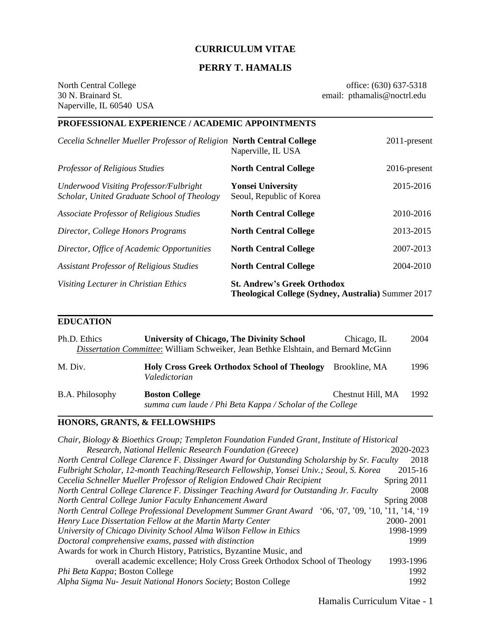# **CURRICULUM VITAE**

# **PERRY T. HAMALIS**

Naperville, IL 60540 USA **\_\_\_\_\_\_\_\_\_\_\_\_\_\_\_\_\_\_\_\_\_\_\_\_\_\_\_\_\_\_\_\_\_\_\_\_\_\_\_\_\_\_\_\_\_\_\_\_\_\_\_\_\_\_\_\_\_\_\_\_\_\_\_\_\_\_\_\_\_\_\_\_\_\_\_\_\_\_\_\_\_\_\_\_\_\_\_\_\_\_\_\_\_\_\_\_\_\_\_\_\_\_\_\_\_\_\_\_\_\_\_\_\_\_\_\_\_**

North Central College office: (630) 637-5318 30 N. Brainard St. email: pthamalis@noctrl.edu

# **PROFESSIONAL EXPERIENCE / ACADEMIC APPOINTMENTS** *Cecelia Schneller Mueller Professor of Religion* **North Central College** 2011-present Naperville, IL USA *Professor of Religious Studies* **North Central College** 2016-present *Underwood Visiting Professor/Fulbright* **Yonsei University** 2015-2016 *Scholar, United Graduate School of Theology* Seoul, Republic of Korea *Associate Professor of Religious Studies* **North Central College** 2010-2016 *Director, College Honors Programs* **North Central College** 2013-2015 *Director, Office of Academic Opportunities* **North Central College** 2007-2013 *Assistant Professor of Religious Studies* **North Central College** 2004-2010 *Visiting Lecturer in Christian Ethics* **St. Andrew's Greek Orthodox Theological College (Sydney, Australia)** Summer 2017

### **EDUCATION**

| Ph.D. Ethics    | <b>University of Chicago, The Divinity School</b><br>Dissertation Committee: William Schweiker, Jean Bethke Elshtain, and Bernard McGinn | Chicago, IL       | 2004 |
|-----------------|------------------------------------------------------------------------------------------------------------------------------------------|-------------------|------|
| M. Div.         | <b>Holy Cross Greek Orthodox School of Theology</b><br>Valedictorian                                                                     | Brookline, MA     | 1996 |
| B.A. Philosophy | <b>Boston College</b><br>summa cum laude / Phi Beta Kappa / Scholar of the College                                                       | Chestnut Hill, MA | 1992 |

**\_\_\_\_\_\_\_\_\_\_\_\_\_\_\_\_\_\_\_\_\_\_\_\_\_\_\_\_\_\_\_\_\_\_\_\_\_\_\_\_\_\_\_\_\_\_\_\_\_\_\_\_\_\_\_\_\_\_\_\_\_\_\_\_\_\_\_\_\_\_\_\_\_\_\_\_\_\_\_\_\_\_\_\_\_\_\_\_\_\_\_\_\_\_\_\_\_\_\_\_\_\_\_\_\_\_\_\_\_\_\_\_\_\_\_\_\_**

**\_\_\_\_\_\_\_\_\_\_\_\_\_\_\_\_\_\_\_\_\_\_\_\_\_\_\_\_\_\_\_\_\_\_\_\_\_\_\_\_\_\_\_\_\_\_\_\_\_\_\_\_\_\_\_\_\_\_\_\_\_\_\_\_\_\_\_\_\_\_\_\_\_\_\_\_\_\_\_\_\_\_\_\_\_\_\_\_\_\_\_\_\_\_\_\_\_\_\_\_\_\_\_\_\_\_\_\_\_\_\_\_\_\_\_\_\_**

### **HONORS, GRANTS, & FELLOWSHIPS**

| Chair, Biology & Bioethics Group; Templeton Foundation Funded Grant, Institute of Historical        |             |
|-----------------------------------------------------------------------------------------------------|-------------|
| Research, National Hellenic Research Foundation (Greece)                                            | 2020-2023   |
| North Central College Clarence F. Dissinger Award for Outstanding Scholarship by Sr. Faculty        | 2018        |
| Fulbright Scholar, 12-month Teaching/Research Fellowship, Yonsei Univ.; Seoul, S. Korea             | 2015-16     |
| Cecelia Schneller Mueller Professor of Religion Endowed Chair Recipient                             | Spring 2011 |
| North Central College Clarence F. Dissinger Teaching Award for Outstanding Jr. Faculty              | 2008        |
| North Central College Junior Faculty Enhancement Award                                              | Spring 2008 |
| North Central College Professional Development Summer Grant Award '06, '07, '09, '10, '11, '14, '19 |             |
| Henry Luce Dissertation Fellow at the Martin Marty Center                                           | 2000-2001   |
| University of Chicago Divinity School Alma Wilson Fellow in Ethics                                  | 1998-1999   |
| Doctoral comprehensive exams, passed with distinction                                               | 1999        |
| Awards for work in Church History, Patristics, Byzantine Music, and                                 |             |
| overall academic excellence; Holy Cross Greek Orthodox School of Theology                           | 1993-1996   |
| Phi Beta Kappa; Boston College                                                                      | 1992        |
| Alpha Sigma Nu- Jesuit National Honors Society; Boston College                                      | 1992        |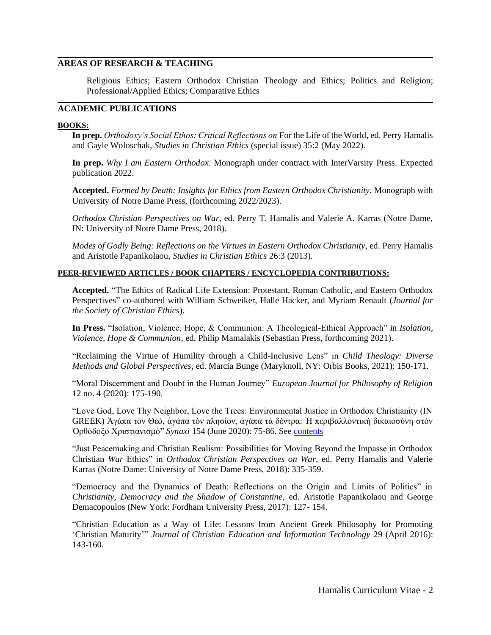### **AREAS OF RESEARCH & TEACHING**

Religious Ethics; Eastern Orthodox Christian Theology and Ethics; Politics and Religion; Professional/Applied Ethics; Comparative Ethics

**\_\_\_\_\_\_\_\_\_\_\_\_\_\_\_\_\_\_\_\_\_\_\_\_\_\_\_\_\_\_\_\_\_\_\_\_\_\_\_\_\_\_\_\_\_\_\_\_\_\_\_\_\_\_\_\_\_\_\_\_\_\_\_\_\_\_\_\_\_\_\_\_\_\_\_\_\_\_\_\_\_\_\_\_\_\_\_\_\_\_\_\_\_\_\_\_\_\_\_\_\_\_\_\_\_\_\_\_\_\_\_\_\_\_\_\_\_**

**\_\_\_\_\_\_\_\_\_\_\_\_\_\_\_\_\_\_\_\_\_\_\_\_\_\_\_\_\_\_\_\_\_\_\_\_\_\_\_\_\_\_\_\_\_\_\_\_\_\_\_\_\_\_\_\_\_\_\_\_\_\_\_\_\_\_\_\_\_\_\_\_\_\_\_\_\_\_\_\_\_\_\_\_\_\_\_\_\_\_\_\_\_\_\_\_\_\_\_\_\_\_\_\_\_\_\_\_\_\_\_\_\_\_\_\_\_**

### **ACADEMIC PUBLICATIONS**

#### **BOOKS:**

**In prep.** *Orthodoxy's Social Ethos: Critical Reflections on* For the Life of the World, ed. Perry Hamalis and Gayle Woloschak, *Studies in Christian Ethics* (special issue) 35:2 (May 2022).

**In prep.** *Why I am Eastern Orthodox*. Monograph under contract with InterVarsity Press. Expected publication 2022.

**Accepted.** *Formed by Death: Insights for Ethics from Eastern Orthodox Christianity.* Monograph with University of Notre Dame Press, (forthcoming 2022/2023).

*Orthodox Christian Perspectives on War*, ed. Perry T. Hamalis and Valerie A. Karras (Notre Dame, IN: University of Notre Dame Press, 2018).

*Modes of Godly Being: Reflections on the Virtues in Eastern Orthodox Christianity*, ed. Perry Hamalis and Aristotle Papanikolaou, *Studies in Christian Ethics* 26:3 (2013).

### **PEER-REVIEWED ARTICLES / BOOK CHAPTERS / ENCYCLOPEDIA CONTRIBUTIONS:**

**Accepted.** "The Ethics of Radical Life Extension: Protestant, Roman Catholic, and Eastern Orthodox Perspectives" co-authored with William Schweiker, Halle Hacker, and Myriam Renault (*Journal for the Society of Christian Ethics*).

**In Press.** "Isolation, Violence, Hope, & Communion: A Theological-Ethical Approach" in *Isolation, Violence, Hope & Communion*, ed. Philip Mamalakis (Sebastian Press, forthcoming 2021).

"Reclaiming the Virtue of Humility through a Child-Inclusive Lens" in *Child Theology: Diverse Methods and Global Perspectives*, ed. Marcia Bunge (Maryknoll, NY: Orbis Books, 2021): 150-171.

"Moral Discernment and Doubt in the Human Journey" *European Journal for Philosophy of Religion*  12 no. 4 (2020): 175-190.

"Love God, Love Thy Neighbor, Love the Trees: Environmental Justice in Orthodox Christianity (IN GREEK) Ἀγάπα τὸν Θεό, ἀγάπα τὸν πλησίον, ἀγάπα τὰ δέντρα: Ἡ περιβαλλοντικὴ δικαιοσύνη στὸν Ὀρθόδοξο Χριστιανισμό" *Synaxi* 154 (June 2020): 75-86. See [contents](https://www.synaxi.gr/archive/tefxos_154.php)

"Just Peacemaking and Christian Realism: Possibilities for Moving Beyond the Impasse in Orthodox Christian *War* Ethics" in *Orthodox Christian Perspectives on War*, ed. Perry Hamalis and Valerie Karras (Notre Dame: University of Notre Dame Press, 2018): 335-359.

"Democracy and the Dynamics of Death: Reflections on the Origin and Limits of Politics" in *Christianity, Democracy and the Shadow of Constantine*, ed. Aristotle Papanikolaou and George Demacopoulos (New York: Fordham University Press, 2017): 127- 154.

"Christian Education as a Way of Life: Lessons from Ancient Greek Philosophy for Promoting 'Christian Maturity'" *Journal of Christian Education and Information Technology* 29 (April 2016): 143-160.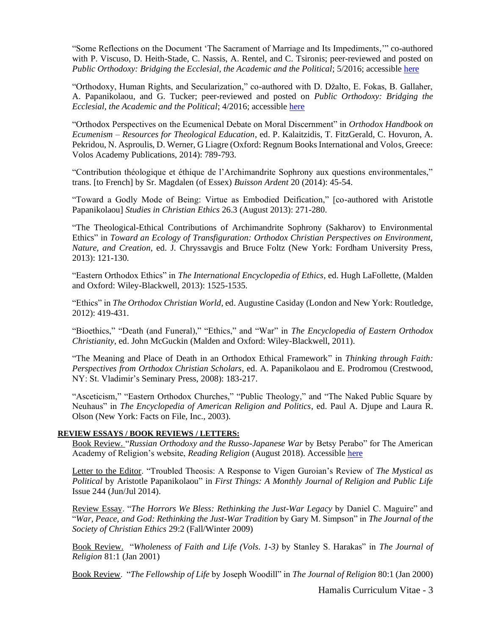"Some Reflections on the Document 'The Sacrament of Marriage and Its Impediments,'" co-authored with P. Viscuso, D. Heith-Stade, C. Nassis, A. Rentel, and C. Tsironis; peer-reviewed and posted on *Public Orthodoxy: Bridging the Ecclesial, the Academic and the Political*; 5/2016; accessible [here](https://publicorthodoxy.org/2016/05/03/reflections-on-the-document-the-sacrament-of-marriage-and-its-impediments/)

"Orthodoxy, Human Rights, and Secularization," co-authored with D. Džalto, E. Fokas, B. Gallaher, A. Papanikolaou, and G. Tucker; peer-reviewed and posted on *Public Orthodoxy: Bridging the Ecclesial, the Academic and the Political*; 4/2016; accessible [here](https://publicorthodoxy.org/2016/04/05/orthodoxy-human-rights-secularization/)

"Orthodox Perspectives on the Ecumenical Debate on Moral Discernment" in *Orthodox Handbook on Ecumenism – Resources for Theological Education*, ed. P. Kalaitzidis, T. FitzGerald, C. Hovuron, A. Pekridou, N. Asproulis, D. Werner, G Liagre (Oxford: Regnum Books International and Volos, Greece: Volos Academy Publications, 2014): 789-793.

"Contribution théologique et éthique de l'Archimandrite Sophrony aux questions environmentales," trans. [to French] by Sr. Magdalen (of Essex) *Buisson Ardent* 20 (2014): 45-54.

"Toward a Godly Mode of Being: Virtue as Embodied Deification," [co-authored with Aristotle Papanikolaou] *Studies in Christian Ethics* 26.3 (August 2013): 271-280.

"The Theological-Ethical Contributions of Archimandrite Sophrony (Sakharov) to Environmental Ethics" in *Toward an Ecology of Transfiguration: Orthodox Christian Perspectives on Environment, Nature, and Creation*, ed. J. Chryssavgis and Bruce Foltz (New York: Fordham University Press, 2013): 121-130.

"Eastern Orthodox Ethics" in *The International Encyclopedia of Ethics*, ed. Hugh LaFollette, (Malden and Oxford: Wiley-Blackwell, 2013): 1525-1535.

"Ethics" in *The Orthodox Christian World*, ed. Augustine Casiday (London and New York: Routledge, 2012): 419-431.

"Bioethics," "Death (and Funeral)," "Ethics," and "War" in *The Encyclopedia of Eastern Orthodox Christianity*, ed. John McGuckin (Malden and Oxford: Wiley-Blackwell, 2011).

"The Meaning and Place of Death in an Orthodox Ethical Framework" in *Thinking through Faith: Perspectives from Orthodox Christian Scholars*, ed. A. Papanikolaou and E. Prodromou (Crestwood, NY: St. Vladimir's Seminary Press, 2008): 183-217.

"Asceticism," "Eastern Orthodox Churches," "Public Theology," and "The Naked Public Square by Neuhaus" in *The Encyclopedia of American Religion and Politics*, ed. Paul A. Djupe and Laura R. Olson (New York: Facts on File, Inc., 2003).

#### **REVIEW ESSAYS / BOOK REVIEWS / LETTERS:**

Book Review. "*Russian Orthodoxy and the Russo-Japanese War* by Betsy Perabo" for The American Academy of Religion's website, *Reading Religion* (August 2018). Accessible [here](http://readingreligion.org/books/russian-orthodoxy-and-russo-japanese-war)

Letter to the Editor. "Troubled Theosis: A Response to Vigen Guroian's Review of *The Mystical as Political* by Aristotle Papanikolaou" in *First Things: A Monthly Journal of Religion and Public Life*  Issue 244 (Jun/Jul 2014).

Review Essay. "*The Horrors We Bless: Rethinking the Just-War Legacy* by Daniel C. Maguire" and "*War, Peace, and God: Rethinking the Just-War Tradition* by Gary M. Simpson" in *The Journal of the Society of Christian Ethics* 29:2 (Fall/Winter 2009)

Book Review. "*Wholeness of Faith and Life (Vols. 1-3)* by Stanley S. Harakas" in *The Journal of Religion* 81:1 (Jan 2001)

Book Review. "*The Fellowship of Life* by Joseph Woodill" in *The Journal of Religion* 80:1 (Jan 2000)

Hamalis Curriculum Vitae - 3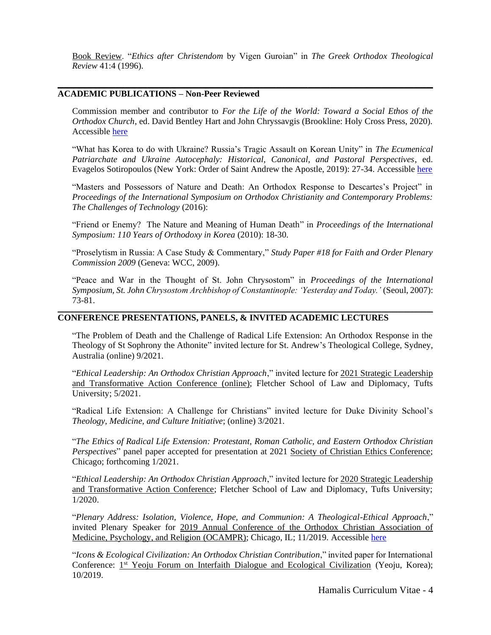Book Review. "*Ethics after Christendom* by Vigen Guroian" in *The Greek Orthodox Theological Review* 41:4 (1996).

**\_\_\_\_\_\_\_\_\_\_\_\_\_\_\_\_\_\_\_\_\_\_\_\_\_\_\_\_\_\_\_\_\_\_\_\_\_\_\_\_\_\_\_\_\_\_\_\_\_\_\_\_\_\_\_\_\_\_\_\_\_\_\_\_\_\_\_\_\_\_\_\_\_\_\_\_\_\_\_\_\_\_\_\_\_\_\_\_\_\_\_\_\_\_\_\_\_\_\_\_\_\_\_\_\_\_\_\_\_\_\_\_\_\_\_\_\_**

### **ACADEMIC PUBLICATIONS – Non-Peer Reviewed**

Commission member and contributor to *For the Life of the World: Toward a Social Ethos of the Orthodox Church*, ed. David Bentley Hart and John Chryssavgis (Brookline: Holy Cross Press, 2020). Accessible [here](https://www.goarch.org/social-ethos-preface)

"What has Korea to do with Ukraine? Russia's Tragic Assault on Korean Unity" in *The Ecumenical Patriarchate and Ukraine Autocephaly: Historical, Canonical, and Pastoral Perspectives*, ed. Evagelos Sotiropoulos (New York: Order of Saint Andrew the Apostle, 2019): 27-34. Accessible [here](https://www.archons.org/-/ebook-ecumenicalpatriarchate-ukraineautocephaly)

"Masters and Possessors of Nature and Death: An Orthodox Response to Descartes's Project" in *Proceedings of the International Symposium on Orthodox Christianity and Contemporary Problems: The Challenges of Technology* (2016):

"Friend or Enemy? The Nature and Meaning of Human Death" in *Proceedings of the International Symposium: 110 Years of Orthodoxy in Korea* (2010): 18-30.

"Proselytism in Russia: A Case Study & Commentary," *Study Paper #18 for Faith and Order Plenary Commission 2009* (Geneva: WCC, 2009).

"Peace and War in the Thought of St. John Chrysostom" in *Proceedings of the International Symposium, St. John Chrysostom Archbishop of Constantinople: 'Yesterday and Today.'* (Seoul, 2007): 73-81.

**\_\_\_\_\_\_\_\_\_\_\_\_\_\_\_\_\_\_\_\_\_\_\_\_\_\_\_\_\_\_\_\_\_\_\_\_\_\_\_\_\_\_\_\_\_\_\_\_\_\_\_\_\_\_\_\_\_\_\_\_\_\_\_\_\_\_\_\_\_\_\_\_\_\_\_\_\_\_\_\_\_\_\_\_\_\_\_\_\_\_\_\_\_\_\_\_\_\_\_\_\_\_\_\_\_\_\_\_\_\_\_\_\_\_\_\_\_**

# **CONFERENCE PRESENTATIONS, PANELS, & INVITED ACADEMIC LECTURES**

"The Problem of Death and the Challenge of Radical Life Extension: An Orthodox Response in the Theology of St Sophrony the Athonite" invited lecture for St. Andrew's Theological College, Sydney, Australia (online) 9/2021.

"*Ethical Leadership: An Orthodox Christian Approach*," invited lecture for 2021 Strategic Leadership and Transformative Action Conference (online); Fletcher School of Law and Diplomacy, Tufts University; 5/2021.

"Radical Life Extension: A Challenge for Christians" invited lecture for Duke Divinity School's *Theology, Medicine, and Culture Initiative*; (online) 3/2021.

"*The Ethics of Radical Life Extension: Protestant, Roman Catholic, and Eastern Orthodox Christian Perspectives*" panel paper accepted for presentation at 2021 Society of Christian Ethics Conference; Chicago; forthcoming 1/2021.

"*Ethical Leadership: An Orthodox Christian Approach*," invited lecture for 2020 Strategic Leadership and Transformative Action Conference; Fletcher School of Law and Diplomacy, Tufts University; 1/2020.

"*Plenary Address: Isolation, Violence, Hope, and Communion: A Theological-Ethical Approach*," invited Plenary Speaker for 2019 Annual Conference of the Orthodox Christian Association of Medicine, Psychology, and Religion (OCAMPR); Chicago, IL; 11/2019. Accessible [here](https://www.youtube.com/watch?time_continue=977&v=jTkTQQq_m64&feature=emb_logo)

"*Icons & Ecological Civilization: An Orthodox Christian Contribution*," invited paper for International Conference: 1<sup>st</sup> Yeoju Forum on Interfaith Dialogue and Ecological Civilization (Yeoju, Korea); 10/2019.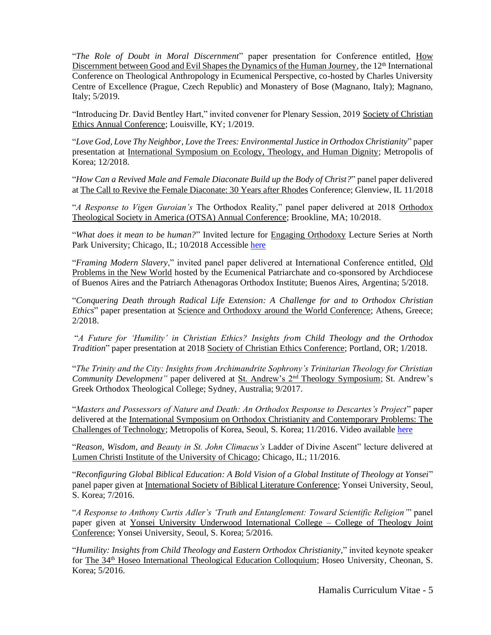"*The Role of Doubt in Moral Discernment*" paper presentation for Conference entitled, How Discernment between Good and Evil Shapes the Dynamics of the Human Journey, the 12<sup>th</sup> International Conference on Theological Anthropology in Ecumenical Perspective, co-hosted by Charles University Centre of Excellence (Prague, Czech Republic) and Monastery of Bose (Magnano, Italy); Magnano, Italy; 5/2019.

"Introducing Dr. David Bentley Hart," invited convener for Plenary Session, 2019 Society of Christian Ethics Annual Conference; Louisville, KY; 1/2019.

"*Love God, Love Thy Neighbor, Love the Trees: Environmental Justice in Orthodox Christianity*" paper presentation at International Symposium on Ecology, Theology, and Human Dignity; Metropolis of Korea; 12/2018.

"*How Can a Revived Male and Female Diaconate Build up the Body of Christ?*" panel paper delivered at The Call to Revive the Female Diaconate: 30 Years after Rhodes Conference; Glenview, IL 11/2018

"*A Response to Vigen Guroian's* The Orthodox Reality," panel paper delivered at 2018 Orthodox Theological Society in America (OTSA) Annual Conference; Brookline, MA; 10/2018.

"*What does it mean to be human?*" Invited lecture for Engaging Orthodoxy Lecture Series at North Park University; Chicago, IL; 10/2018 Accessible [here](https://www.youtube.com/watch?v=17CxPZ29EIE&feature=emb_logo)

"*Framing Modern Slavery*," invited panel paper delivered at International Conference entitled, Old Problems in the New World hosted by the Ecumenical Patriarchate and co-sponsored by Archdiocese of Buenos Aires and the Patriarch Athenagoras Orthodox Institute; Buenos Aires, Argentina; 5/2018.

"*Conquering Death through Radical Life Extension: A Challenge for and to Orthodox Christian Ethics*" paper presentation at Science and Orthodoxy around the World Conference; Athens, Greece; 2/2018.

"*A Future for 'Humility' in Christian Ethics? Insights from Child Theology and the Orthodox Tradition*" paper presentation at 2018 Society of Christian Ethics Conference; Portland, OR; 1/2018.

"*The Trinity and the City: Insights from Archimandrite Sophrony's Trinitarian Theology for Christian Community Development"* paper delivered at St. Andrew's 2<sup>nd</sup> Theology Symposium; St. Andrew's Greek Orthodox Theological College; Sydney, Australia; 9/2017.

"*Masters and Possessors of Nature and Death: An Orthodox Response to Descartes's Project*" paper delivered at the International Symposium on Orthodox Christianity and Contemporary Problems: The Challenges of Technology; Metropolis of Korea, Seoul, S. Korea; 11/2016. Video available [here](https://www.youtube.com/watch?v=9NeDG1yjE4Y)

"*Reason, Wisdom, and Beauty in St. John Climacus's* Ladder of Divine Ascent" lecture delivered at Lumen Christi Institute of the University of Chicago; Chicago, IL; 11/2016.

"*Reconfiguring Global Biblical Education: A Bold Vision of a Global Institute of Theology at Yonsei*" panel paper given at International Society of Biblical Literature Conference; Yonsei University, Seoul, S. Korea; 7/2016.

"*A Response to Anthony Curtis Adler's 'Truth and Entanglement: Toward Scientific Religion'*" panel paper given at Yonsei University Underwood International College – College of Theology Joint Conference; Yonsei University, Seoul, S. Korea; 5/2016.

"*Humility: Insights from Child Theology and Eastern Orthodox Christianity*," invited keynote speaker for The 34<sup>th</sup> Hoseo International Theological Education Colloquium; Hoseo University, Cheonan, S. Korea; 5/2016.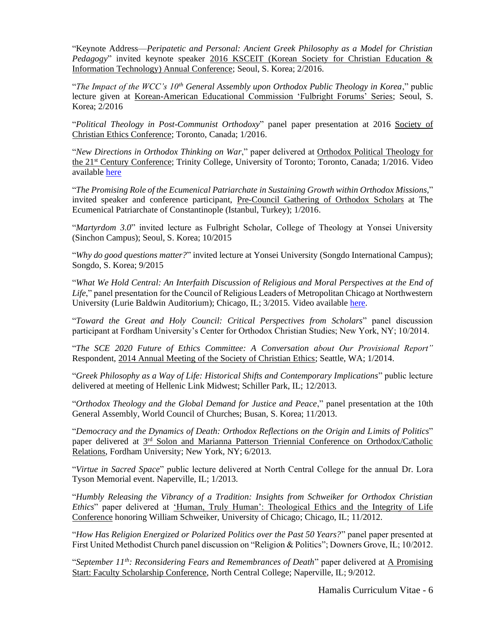"Keynote Address—*Peripatetic and Personal: Ancient Greek Philosophy as a Model for Christian Pedagogy*" invited keynote speaker 2016 KSCEIT (Korean Society for Christian Education & Information Technology) Annual Conference; Seoul, S. Korea; 2/2016.

"*The Impact of the WCC's 10th General Assembly upon Orthodox Public Theology in Korea*," public lecture given at Korean-American Educational Commission 'Fulbright Forums' Series; Seoul, S. Korea; 2/2016

"*Political Theology in Post-Communist Orthodoxy*" panel paper presentation at 2016 Society of Christian Ethics Conference; Toronto, Canada; 1/2016.

"*New Directions in Orthodox Thinking on War*," paper delivered at Orthodox Political Theology for the 21st Century Conference; Trinity College, University of Toronto; Toronto, Canada; 1/2016. Video available [here](https://www.youtube.com/watch?v=pyVxj7a1m8I)

"*The Promising Role of the Ecumenical Patriarchate in Sustaining Growth within Orthodox Missions,*" invited speaker and conference participant, Pre-Council Gathering of Orthodox Scholars at The Ecumenical Patriarchate of Constantinople (Istanbul, Turkey); 1/2016.

"*Martyrdom 3.0*" invited lecture as Fulbright Scholar, College of Theology at Yonsei University (Sinchon Campus); Seoul, S. Korea; 10/2015

"*Why do good questions matter?*" invited lecture at Yonsei University (Songdo International Campus); Songdo, S. Korea; 9/2015

"*What We Hold Central: An Interfaith Discussion of Religious and Moral Perspectives at the End of Life*," panel presentation for the Council of Religious Leaders of Metropolitan Chicago at Northwestern University (Lurie Baldwin Auditorium); Chicago, IL; 3/2015. Video available [here.](http://www.lifemattersmedia.org/2015/03/interfaith-panel-explores-end-of-life-care-beliefs/)

"*Toward the Great and Holy Council: Critical Perspectives from Scholars*" panel discussion participant at Fordham University's Center for Orthodox Christian Studies; New York, NY; 10/2014.

"*The SCE 2020 Future of Ethics Committee: A Conversation about Our Provisional Report"* Respondent, 2014 Annual Meeting of the Society of Christian Ethics; Seattle, WA; 1/2014.

"*Greek Philosophy as a Way of Life: Historical Shifts and Contemporary Implications*" public lecture delivered at meeting of Hellenic Link Midwest; Schiller Park, IL; 12/2013.

"*Orthodox Theology and the Global Demand for Justice and Peace*," panel presentation at the 10th General Assembly, World Council of Churches; Busan, S. Korea; 11/2013.

"*Democracy and the Dynamics of Death: Orthodox Reflections on the Origin and Limits of Politics*" paper delivered at 3<sup>rd</sup> Solon and Marianna Patterson Triennial Conference on Orthodox/Catholic Relations, Fordham University; New York, NY; 6/2013.

"*Virtue in Sacred Space*" public lecture delivered at North Central College for the annual Dr. Lora Tyson Memorial event. Naperville, IL; 1/2013.

"*Humbly Releasing the Vibrancy of a Tradition: Insights from Schweiker for Orthodox Christian Ethics*" paper delivered at 'Human, Truly Human': Theological Ethics and the Integrity of Life Conference honoring William Schweiker, University of Chicago; Chicago, IL; 11/2012.

"*How Has Religion Energized or Polarized Politics over the Past 50 Years?*" panel paper presented at First United Methodist Church panel discussion on "Religion & Politics"; Downers Grove, IL; 10/2012.

"*September 11th: Reconsidering Fears and Remembrances of Death*" paper delivered at A Promising Start: Faculty Scholarship Conference, North Central College; Naperville, IL; 9/2012.

Hamalis Curriculum Vitae - 6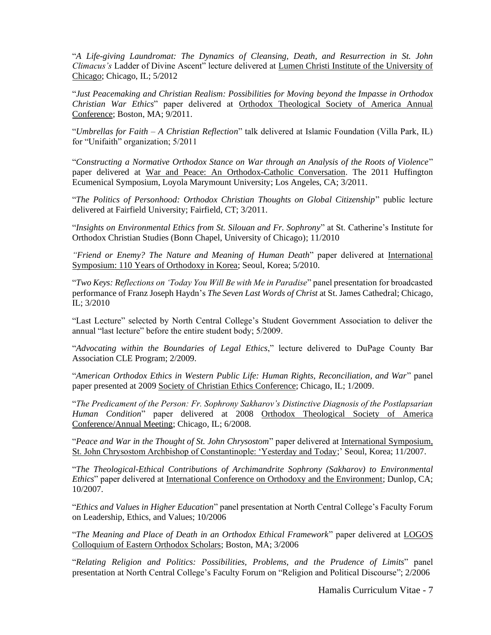"*A Life-giving Laundromat: The Dynamics of Cleansing, Death, and Resurrection in St. John Climacus's* Ladder of Divine Ascent" lecture delivered at Lumen Christi Institute of the University of Chicago; Chicago, IL; 5/2012

"*Just Peacemaking and Christian Realism: Possibilities for Moving beyond the Impasse in Orthodox Christian War Ethics*" paper delivered at Orthodox Theological Society of America Annual Conference; Boston, MA; 9/2011.

"*Umbrellas for Faith – A Christian Reflection*" talk delivered at Islamic Foundation (Villa Park, IL) for "Unifaith" organization; 5/2011

"*Constructing a Normative Orthodox Stance on War through an Analysis of the Roots of Violence*" paper delivered at War and Peace: An Orthodox-Catholic Conversation. The 2011 Huffington Ecumenical Symposium, Loyola Marymount University; Los Angeles, CA; 3/2011.

"*The Politics of Personhood: Orthodox Christian Thoughts on Global Citizenship*" public lecture delivered at Fairfield University; Fairfield, CT; 3/2011.

"*Insights on Environmental Ethics from St. Silouan and Fr. Sophrony*" at St. Catherine's Institute for Orthodox Christian Studies (Bonn Chapel, University of Chicago); 11/2010

*"Friend or Enemy? The Nature and Meaning of Human Death*" paper delivered at International Symposium: 110 Years of Orthodoxy in Korea; Seoul, Korea; 5/2010.

"*Two Keys: Reflections on 'Today You Will Be with Me in Paradise*" panel presentation for broadcasted performance of Franz Joseph Haydn's *The Seven Last Words of Christ* at St. James Cathedral; Chicago, IL; 3/2010

"Last Lecture" selected by North Central College's Student Government Association to deliver the annual "last lecture" before the entire student body; 5/2009.

"*Advocating within the Boundaries of Legal Ethics*," lecture delivered to DuPage County Bar Association CLE Program; 2/2009.

"*American Orthodox Ethics in Western Public Life: Human Rights, Reconciliation, and War*" panel paper presented at 2009 Society of Christian Ethics Conference; Chicago, IL; 1/2009.

"*The Predicament of the Person: Fr. Sophrony Sakharov's Distinctive Diagnosis of the Postlapsarian Human Condition*" paper delivered at 2008 Orthodox Theological Society of America Conference/Annual Meeting; Chicago, IL; 6/2008.

"*Peace and War in the Thought of St. John Chrysostom*" paper delivered at International Symposium, St. John Chrysostom Archbishop of Constantinople: 'Yesterday and Today;' Seoul, Korea; 11/2007.

"*The Theological-Ethical Contributions of Archimandrite Sophrony (Sakharov) to Environmental Ethics*" paper delivered at International Conference on Orthodoxy and the Environment; Dunlop, CA; 10/2007.

"*Ethics and Values in Higher Education*" panel presentation at North Central College's Faculty Forum on Leadership, Ethics, and Values; 10/2006

"*The Meaning and Place of Death in an Orthodox Ethical Framework*" paper delivered at LOGOS Colloquium of Eastern Orthodox Scholars; Boston, MA; 3/2006

"*Relating Religion and Politics: Possibilities, Problems, and the Prudence of Limits*" panel presentation at North Central College's Faculty Forum on "Religion and Political Discourse"; 2/2006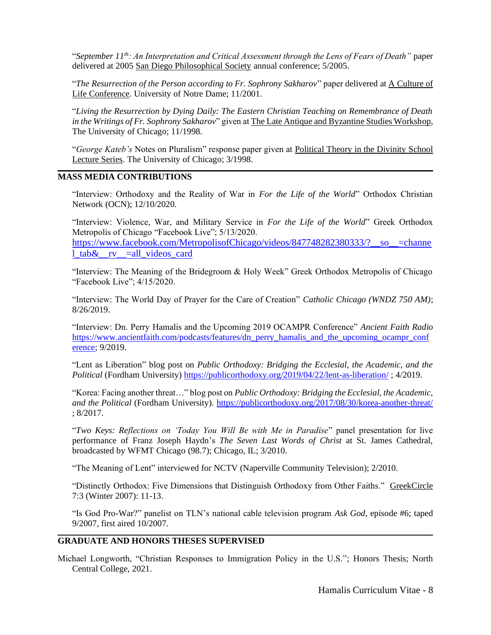"*September 11th: An Interpretation and Critical Assessment through the Lens of Fears of Death"* paper delivered at 2005 San Diego Philosophical Society annual conference; 5/2005.

"*The Resurrection of the Person according to Fr. Sophrony Sakharov*" paper delivered at A Culture of Life Conference. University of Notre Dame; 11/2001.

"*Living the Resurrection by Dying Daily: The Eastern Christian Teaching on Remembrance of Death in the Writings of Fr. Sophrony Sakharov*" given at The Late Antique and Byzantine Studies Workshop, The University of Chicago; 11/1998.

"*George Kateb's* Notes on Pluralism" response paper given at Political Theory in the Divinity School Lecture Series. The University of Chicago; 3/1998.

**\_\_\_\_\_\_\_\_\_\_\_\_\_\_\_\_\_\_\_\_\_\_\_\_\_\_\_\_\_\_\_\_\_\_\_\_\_\_\_\_\_\_\_\_\_\_\_\_\_\_\_\_\_\_\_\_\_\_\_\_\_\_\_\_\_\_\_\_\_\_\_\_\_\_\_\_\_\_\_\_\_\_\_\_\_\_\_\_\_\_\_\_\_\_\_\_\_\_\_\_\_\_\_\_\_\_\_\_\_\_\_\_\_\_\_\_\_**

# **MASS MEDIA CONTRIBUTIONS**

"Interview: Orthodoxy and the Reality of War in *For the Life of the World*" Orthodox Christian Network (OCN); 12/10/2020.

"Interview: Violence, War, and Military Service in *For the Life of the World*" Greek Orthodox Metropolis of Chicago "Facebook Live"; 5/13/2020.

[https://www.facebook.com/MetropolisofChicago/videos/847748282380333/?\\_\\_so\\_\\_=channe](https://www.facebook.com/MetropolisofChicago/videos/847748282380333/?__so__=channel_tab&__rv__=all_videos_card) l tab $\&$ rv =all videos card

"Interview: The Meaning of the Bridegroom & Holy Week" Greek Orthodox Metropolis of Chicago "Facebook Live"; 4/15/2020.

"Interview: The World Day of Prayer for the Care of Creation" *Catholic Chicago (WNDZ 750 AM)*; 8/26/2019.

"Interview: Dn. Perry Hamalis and the Upcoming 2019 OCAMPR Conference" *Ancient Faith Radio* [https://www.ancientfaith.com/podcasts/features/dn\\_perry\\_hamalis\\_and\\_the\\_upcoming\\_ocampr\\_conf](https://www.ancientfaith.com/podcasts/features/dn_perry_hamalis_and_the_upcoming_ocampr_conference) [erence;](https://www.ancientfaith.com/podcasts/features/dn_perry_hamalis_and_the_upcoming_ocampr_conference) 9/2019.

"Lent as Liberation" blog post on *Public Orthodoxy: Bridging the Ecclesial, the Academic, and the Political* (Fordham University)<https://publicorthodoxy.org/2019/04/22/lent-as-liberation/> ; 4/2019.

"Korea: Facing another threat…" blog post on *Public Orthodoxy: Bridging the Ecclesial, the Academic, and the Political* (Fordham University).<https://publicorthodoxy.org/2017/08/30/korea-another-threat/> ; 8/2017.

"*Two Keys: Reflections on 'Today You Will Be with Me in Paradise*" panel presentation for live performance of Franz Joseph Haydn's *The Seven Last Words of Christ* at St. James Cathedral, broadcasted by WFMT Chicago (98.7); Chicago, IL; 3/2010.

"The Meaning of Lent" interviewed for NCTV (Naperville Community Television); 2/2010.

"Distinctly Orthodox: Five Dimensions that Distinguish Orthodoxy from Other Faiths." GreekCircle 7:3 (Winter 2007): 11-13.

"Is God Pro-War?" panelist on TLN's national cable television program *Ask God*, episode #6; taped 9/2007, first aired 10/2007.

# **GRADUATE AND HONORS THESES SUPERVISED**

Michael Longworth, "Christian Responses to Immigration Policy in the U.S."; Honors Thesis; North Central College, 2021.

**\_\_\_\_\_\_\_\_\_\_\_\_\_\_\_\_\_\_\_\_\_\_\_\_\_\_\_\_\_\_\_\_\_\_\_\_\_\_\_\_\_\_\_\_\_\_\_\_\_\_\_\_\_\_\_\_\_\_\_\_\_\_\_\_\_\_\_\_\_\_\_\_\_\_\_\_\_\_\_\_\_\_\_\_\_\_\_\_\_\_\_\_\_\_\_\_\_\_\_\_\_\_\_\_\_\_\_\_\_\_\_\_\_\_\_\_\_**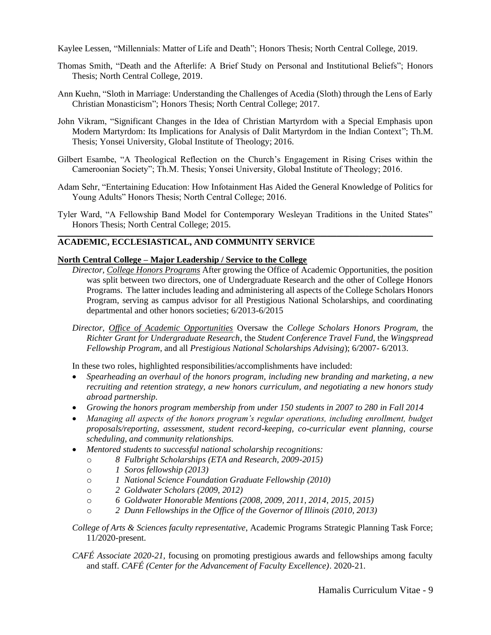Kaylee Lessen, "Millennials: Matter of Life and Death"; Honors Thesis; North Central College, 2019.

- Thomas Smith, "Death and the Afterlife: A Brief Study on Personal and Institutional Beliefs"; Honors Thesis; North Central College, 2019.
- Ann Kuehn, "Sloth in Marriage: Understanding the Challenges of Acedia (Sloth) through the Lens of Early Christian Monasticism"; Honors Thesis; North Central College; 2017.
- John Vikram, "Significant Changes in the Idea of Christian Martyrdom with a Special Emphasis upon Modern Martyrdom: Its Implications for Analysis of Dalit Martyrdom in the Indian Context"; Th.M. Thesis; Yonsei University, Global Institute of Theology; 2016.
- Gilbert Esambe, "A Theological Reflection on the Church's Engagement in Rising Crises within the Cameroonian Society"; Th.M. Thesis; Yonsei University, Global Institute of Theology; 2016.
- Adam Sehr, "Entertaining Education: How Infotainment Has Aided the General Knowledge of Politics for Young Adults" Honors Thesis; North Central College; 2016.
- Tyler Ward, "A Fellowship Band Model for Contemporary Wesleyan Traditions in the United States" Honors Thesis; North Central College; 2015. **\_\_\_\_\_\_\_\_\_\_\_\_\_\_\_\_\_\_\_\_\_\_\_\_\_\_\_\_\_\_\_\_\_\_\_\_\_\_\_\_\_\_\_\_\_\_\_\_\_\_\_\_\_\_\_\_\_\_\_\_\_\_\_\_\_\_\_\_\_\_\_\_\_\_\_\_\_\_\_\_\_\_\_\_\_\_\_\_\_\_\_\_\_\_\_\_\_\_\_\_\_\_\_\_\_\_\_\_\_\_\_\_\_\_\_\_\_**

# **ACADEMIC, ECCLESIASTICAL, AND COMMUNITY SERVICE**

### **North Central College – Major Leadership / Service to the College**

- *Director, College Honors Programs* After growing the Office of Academic Opportunities, the position was split between two directors, one of Undergraduate Research and the other of College Honors Programs. The latter includes leading and administering all aspects of the College Scholars Honors Program, serving as campus advisor for all Prestigious National Scholarships, and coordinating departmental and other honors societies; 6/2013-6/2015
- *Director, Office of Academic Opportunities* Oversaw the *College Scholars Honors Program*, the *Richter Grant for Undergraduate Research*, the *Student Conference Travel Fund*, the *Wingspread Fellowship Program*, and all *Prestigious National Scholarships Advising*); 6/2007- 6/2013.

In these two roles, highlighted responsibilities/accomplishments have included:

- *Spearheading an overhaul of the honors program, including new branding and marketing, a new recruiting and retention strategy, a new honors curriculum, and negotiating a new honors study abroad partnership.*
- *Growing the honors program membership from under 150 students in 2007 to 280 in Fall 2014*
- *Managing all aspects of the honors program's regular operations, including enrollment, budget proposals/reporting, assessment, student record-keeping, co-curricular event planning, course scheduling, and community relationships.*
- *Mentored students to successful national scholarship recognitions:*
	- o *8 Fulbright Scholarships (ETA and Research, 2009-2015)*
	- o *1 Soros fellowship (2013)*
	- o *1 National Science Foundation Graduate Fellowship (2010)*
	- o *2 Goldwater Scholars (2009, 2012)*
	- o *6 Goldwater Honorable Mentions (2008, 2009, 2011, 2014, 2015, 2015)*
	- o *2 Dunn Fellowships in the Office of the Governor of Illinois (2010, 2013)*
- *College of Arts & Sciences faculty representative*, Academic Programs Strategic Planning Task Force; 11/2020-present.
- *CAFÉ Associate 2020-21,* focusing on promoting prestigious awards and fellowships among faculty and staff. *CAFÉ (Center for the Advancement of Faculty Excellence)*. 2020-21.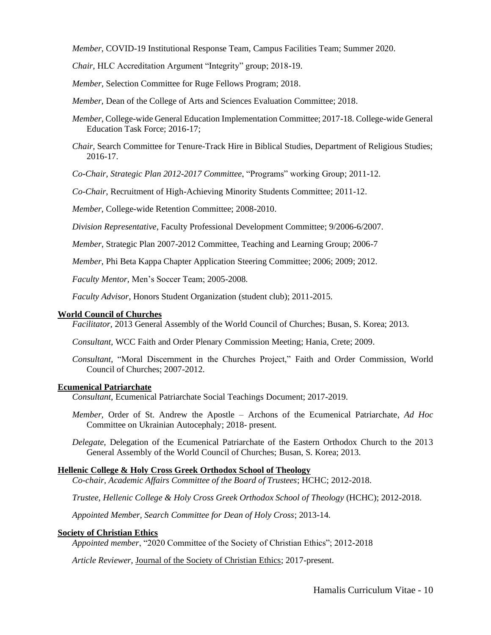*Member,* COVID-19 Institutional Response Team, Campus Facilities Team; Summer 2020.

*Chair,* HLC Accreditation Argument "Integrity" group; 2018-19.

*Member*, Selection Committee for Ruge Fellows Program; 2018.

*Member,* Dean of the College of Arts and Sciences Evaluation Committee; 2018.

*Member*, College-wide General Education Implementation Committee; 2017-18. College-wide General Education Task Force; 2016-17;

*Chair,* Search Committee for Tenure-Track Hire in Biblical Studies, Department of Religious Studies; 2016-17.

*Co-Chair, Strategic Plan 2012-2017 Committee*, "Programs" working Group; 2011-12.

*Co-Chair*, Recruitment of High-Achieving Minority Students Committee; 2011-12.

*Member,* College-wide Retention Committee; 2008-2010.

*Division Representative*, Faculty Professional Development Committee; 9/2006-6/2007.

*Member*, Strategic Plan 2007-2012 Committee, Teaching and Learning Group; 2006-7

*Member,* Phi Beta Kappa Chapter Application Steering Committee; 2006; 2009; 2012.

*Faculty Mentor,* Men's Soccer Team; 2005-2008.

*Faculty Advisor*, Honors Student Organization (student club); 2011-2015.

#### **World Council of Churches**

*Facilitator,* 2013 General Assembly of the World Council of Churches; Busan, S. Korea; 2013.

*Consultant,* WCC Faith and Order Plenary Commission Meeting; Hania, Crete; 2009.

*Consultant,* "Moral Discernment in the Churches Project," Faith and Order Commission, World Council of Churches; 2007-2012.

#### **Ecumenical Patriarchate**

*Consultant*, Ecumenical Patriarchate Social Teachings Document; 2017-2019.

*Member,* Order of St. Andrew the Apostle – Archons of the Ecumenical Patriarchate, *Ad Hoc*  Committee on Ukrainian Autocephaly; 2018- present.

*Delegate,* Delegation of the Ecumenical Patriarchate of the Eastern Orthodox Church to the 2013 General Assembly of the World Council of Churches; Busan, S. Korea; 2013.

#### **Hellenic College & Holy Cross Greek Orthodox School of Theology**

*Co-chair, Academic Affairs Committee of the Board of Trustees*; HCHC; 2012-2018.

*Trustee, Hellenic College & Holy Cross Greek Orthodox School of Theology* (HCHC); 2012-2018.

*Appointed Member, Search Committee for Dean of Holy Cross*; 2013-14.

#### **Society of Christian Ethics**

*Appointed member*, "2020 Committee of the Society of Christian Ethics"; 2012-2018

*Article Reviewer,* Journal of the Society of Christian Ethics; 2017-present.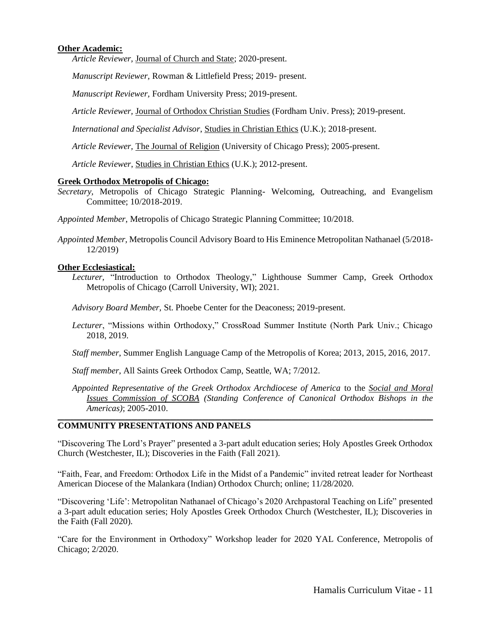### **Other Academic:**

*Article Reviewer,* Journal of Church and State; 2020-present.

*Manuscript Reviewer,* Rowman & Littlefield Press; 2019- present.

*Manuscript Reviewer,* Fordham University Press; 2019-present.

*Article Reviewer,* Journal of Orthodox Christian Studies (Fordham Univ. Press); 2019-present.

*International and Specialist Advisor*, Studies in Christian Ethics (U.K.); 2018-present.

*Article Reviewer,* The Journal of Religion (University of Chicago Press); 2005-present.

*Article Reviewer*, Studies in Christian Ethics (U.K.); 2012-present.

#### **Greek Orthodox Metropolis of Chicago:**

*Secretary,* Metropolis of Chicago Strategic Planning- Welcoming, Outreaching, and Evangelism Committee; 10/2018-2019.

*Appointed Member*, Metropolis of Chicago Strategic Planning Committee; 10/2018.

*Appointed Member,* Metropolis Council Advisory Board to His Eminence Metropolitan Nathanael (5/2018- 12/2019)

### **Other Ecclesiastical:**

*Lecturer,* "Introduction to Orthodox Theology," Lighthouse Summer Camp, Greek Orthodox Metropolis of Chicago (Carroll University, WI); 2021.

*Advisory Board Member,* St. Phoebe Center for the Deaconess; 2019-present.

- *Lecturer*, "Missions within Orthodoxy," CrossRoad Summer Institute (North Park Univ.; Chicago 2018, 2019.
- *Staff member*, Summer English Language Camp of the Metropolis of Korea; 2013, 2015, 2016, 2017.

*Staff member*, All Saints Greek Orthodox Camp, Seattle, WA; 7/2012.

*Appointed Representative of the Greek Orthodox Archdiocese of America* to the *Social and Moral Issues Commission of SCOBA (Standing Conference of Canonical Orthodox Bishops in the Americas)*; 2005-2010.

### **COMMUNITY PRESENTATIONS AND PANELS**

"Discovering The Lord's Prayer" presented a 3-part adult education series; Holy Apostles Greek Orthodox Church (Westchester, IL); Discoveries in the Faith (Fall 2021).

**\_\_\_\_\_\_\_\_\_\_\_\_\_\_\_\_\_\_\_\_\_\_\_\_\_\_\_\_\_\_\_\_\_\_\_\_\_\_\_\_\_\_\_\_\_\_\_\_\_\_\_\_\_\_\_\_\_\_\_\_\_\_\_\_\_\_\_\_\_\_\_\_\_\_\_\_\_\_\_\_\_\_\_\_\_\_\_\_\_\_\_\_\_\_\_\_\_\_\_\_\_\_\_\_\_\_\_\_\_\_\_\_\_\_\_\_\_**

"Faith, Fear, and Freedom: Orthodox Life in the Midst of a Pandemic" invited retreat leader for Northeast American Diocese of the Malankara (Indian) Orthodox Church; online; 11/28/2020.

"Discovering 'Life': Metropolitan Nathanael of Chicago's 2020 Archpastoral Teaching on Life" presented a 3-part adult education series; Holy Apostles Greek Orthodox Church (Westchester, IL); Discoveries in the Faith (Fall 2020).

"Care for the Environment in Orthodoxy" Workshop leader for 2020 YAL Conference, Metropolis of Chicago; 2/2020.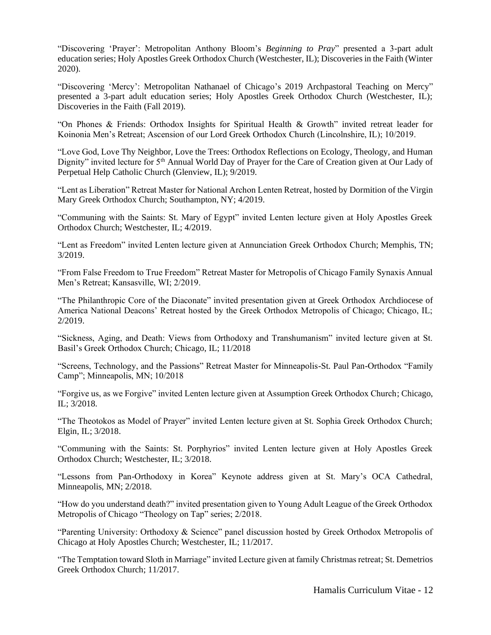"Discovering 'Prayer': Metropolitan Anthony Bloom's *Beginning to Pray*" presented a 3-part adult education series; Holy Apostles Greek Orthodox Church (Westchester, IL); Discoveries in the Faith (Winter 2020).

"Discovering 'Mercy': Metropolitan Nathanael of Chicago's 2019 Archpastoral Teaching on Mercy" presented a 3-part adult education series; Holy Apostles Greek Orthodox Church (Westchester, IL); Discoveries in the Faith (Fall 2019).

"On Phones & Friends: Orthodox Insights for Spiritual Health & Growth" invited retreat leader for Koinonia Men's Retreat; Ascension of our Lord Greek Orthodox Church (Lincolnshire, IL); 10/2019.

"Love God, Love Thy Neighbor, Love the Trees: Orthodox Reflections on Ecology, Theology, and Human Dignity" invited lecture for 5<sup>th</sup> Annual World Day of Prayer for the Care of Creation given at Our Lady of Perpetual Help Catholic Church (Glenview, IL); 9/2019.

"Lent as Liberation" Retreat Master for National Archon Lenten Retreat, hosted by Dormition of the Virgin Mary Greek Orthodox Church; Southampton, NY; 4/2019.

"Communing with the Saints: St. Mary of Egypt" invited Lenten lecture given at Holy Apostles Greek Orthodox Church; Westchester, IL; 4/2019.

"Lent as Freedom" invited Lenten lecture given at Annunciation Greek Orthodox Church; Memphis, TN; 3/2019.

"From False Freedom to True Freedom" Retreat Master for Metropolis of Chicago Family Synaxis Annual Men's Retreat; Kansasville, WI; 2/2019.

"The Philanthropic Core of the Diaconate" invited presentation given at Greek Orthodox Archdiocese of America National Deacons' Retreat hosted by the Greek Orthodox Metropolis of Chicago; Chicago, IL; 2/2019.

"Sickness, Aging, and Death: Views from Orthodoxy and Transhumanism" invited lecture given at St. Basil's Greek Orthodox Church; Chicago, IL; 11/2018

"Screens, Technology, and the Passions" Retreat Master for Minneapolis-St. Paul Pan-Orthodox "Family Camp"; Minneapolis, MN; 10/2018

"Forgive us, as we Forgive" invited Lenten lecture given at Assumption Greek Orthodox Church; Chicago, IL; 3/2018.

"The Theotokos as Model of Prayer" invited Lenten lecture given at St. Sophia Greek Orthodox Church; Elgin, IL; 3/2018.

"Communing with the Saints: St. Porphyrios" invited Lenten lecture given at Holy Apostles Greek Orthodox Church; Westchester, IL; 3/2018.

"Lessons from Pan-Orthodoxy in Korea" Keynote address given at St. Mary's OCA Cathedral, Minneapolis, MN; 2/2018.

"How do you understand death?" invited presentation given to Young Adult League of the Greek Orthodox Metropolis of Chicago "Theology on Tap" series; 2/2018.

"Parenting University: Orthodoxy & Science" panel discussion hosted by Greek Orthodox Metropolis of Chicago at Holy Apostles Church; Westchester, IL; 11/2017.

"The Temptation toward Sloth in Marriage" invited Lecture given at family Christmas retreat; St. Demetrios Greek Orthodox Church; 11/2017.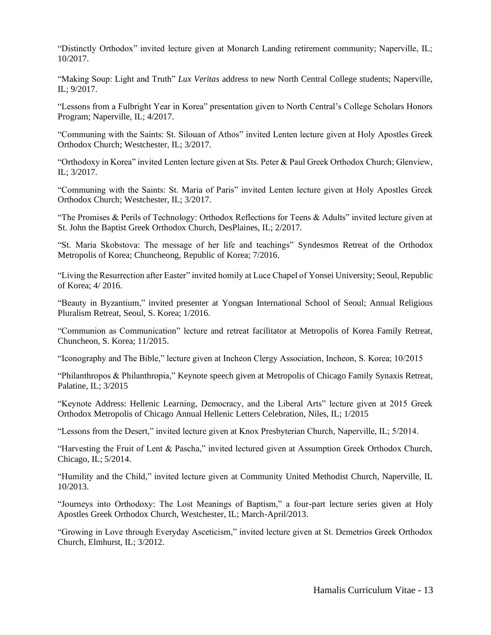"Distinctly Orthodox" invited lecture given at Monarch Landing retirement community; Naperville, IL; 10/2017.

"Making Soup: Light and Truth" *Lux Veritas* address to new North Central College students; Naperville, IL; 9/2017.

"Lessons from a Fulbright Year in Korea" presentation given to North Central's College Scholars Honors Program; Naperville, IL; 4/2017.

"Communing with the Saints: St. Silouan of Athos" invited Lenten lecture given at Holy Apostles Greek Orthodox Church; Westchester, IL; 3/2017.

"Orthodoxy in Korea" invited Lenten lecture given at Sts. Peter & Paul Greek Orthodox Church; Glenview, IL; 3/2017.

"Communing with the Saints: St. Maria of Paris" invited Lenten lecture given at Holy Apostles Greek Orthodox Church; Westchester, IL; 3/2017.

"The Promises & Perils of Technology: Orthodox Reflections for Teens & Adults" invited lecture given at St. John the Baptist Greek Orthodox Church, DesPlaines, IL; 2/2017.

"St. Maria Skobstova: The message of her life and teachings" Syndesmos Retreat of the Orthodox Metropolis of Korea; Chuncheong, Republic of Korea; 7/2016.

"Living the Resurrection after Easter" invited homily at Luce Chapel of Yonsei University; Seoul, Republic of Korea; 4/ 2016.

"Beauty in Byzantium," invited presenter at Yongsan International School of Seoul; Annual Religious Pluralism Retreat, Seoul, S. Korea; 1/2016.

"Communion as Communication" lecture and retreat facilitator at Metropolis of Korea Family Retreat, Chuncheon, S. Korea; 11/2015.

"Iconography and The Bible," lecture given at Incheon Clergy Association, Incheon, S. Korea; 10/2015

"Philanthropos & Philanthropia," Keynote speech given at Metropolis of Chicago Family Synaxis Retreat, Palatine, IL; 3/2015

"Keynote Address: Hellenic Learning, Democracy, and the Liberal Arts" lecture given at 2015 Greek Orthodox Metropolis of Chicago Annual Hellenic Letters Celebration, Niles, IL; 1/2015

"Lessons from the Desert," invited lecture given at Knox Presbyterian Church, Naperville, IL; 5/2014.

"Harvesting the Fruit of Lent & Pascha," invited lectured given at Assumption Greek Orthodox Church, Chicago, IL; 5/2014.

"Humility and the Child," invited lecture given at Community United Methodist Church, Naperville, IL 10/2013.

"Journeys into Orthodoxy: The Lost Meanings of Baptism," a four-part lecture series given at Holy Apostles Greek Orthodox Church, Westchester, IL; March-April/2013.

"Growing in Love through Everyday Asceticism," invited lecture given at St. Demetrios Greek Orthodox Church, Elmhurst, IL; 3/2012.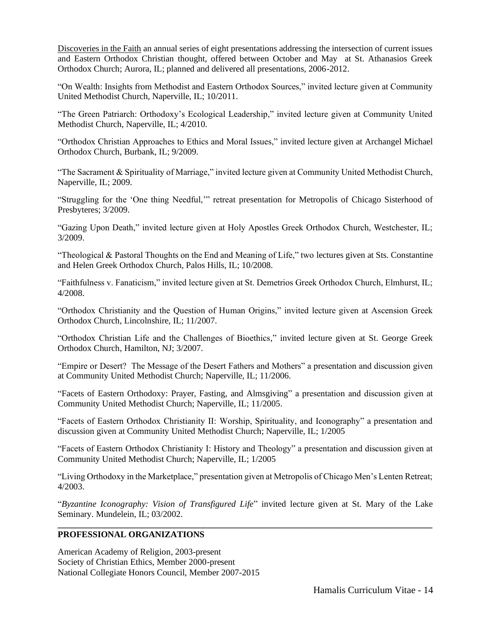Discoveries in the Faith an annual series of eight presentations addressing the intersection of current issues and Eastern Orthodox Christian thought, offered between October and May at St. Athanasios Greek Orthodox Church; Aurora, IL; planned and delivered all presentations, 2006-2012.

"On Wealth: Insights from Methodist and Eastern Orthodox Sources," invited lecture given at Community United Methodist Church, Naperville, IL; 10/2011.

"The Green Patriarch: Orthodoxy's Ecological Leadership," invited lecture given at Community United Methodist Church, Naperville, IL; 4/2010.

"Orthodox Christian Approaches to Ethics and Moral Issues," invited lecture given at Archangel Michael Orthodox Church, Burbank, IL; 9/2009.

"The Sacrament & Spirituality of Marriage," invited lecture given at Community United Methodist Church, Naperville, IL; 2009.

"Struggling for the 'One thing Needful,'" retreat presentation for Metropolis of Chicago Sisterhood of Presbyteres; 3/2009.

"Gazing Upon Death," invited lecture given at Holy Apostles Greek Orthodox Church, Westchester, IL; 3/2009.

"Theological & Pastoral Thoughts on the End and Meaning of Life," two lectures given at Sts. Constantine and Helen Greek Orthodox Church, Palos Hills, IL; 10/2008.

"Faithfulness v. Fanaticism," invited lecture given at St. Demetrios Greek Orthodox Church, Elmhurst, IL; 4/2008.

"Orthodox Christianity and the Question of Human Origins," invited lecture given at Ascension Greek Orthodox Church, Lincolnshire, IL; 11/2007.

"Orthodox Christian Life and the Challenges of Bioethics," invited lecture given at St. George Greek Orthodox Church, Hamilton, NJ; 3/2007.

"Empire or Desert? The Message of the Desert Fathers and Mothers" a presentation and discussion given at Community United Methodist Church; Naperville, IL; 11/2006.

"Facets of Eastern Orthodoxy: Prayer, Fasting, and Almsgiving" a presentation and discussion given at Community United Methodist Church; Naperville, IL; 11/2005.

"Facets of Eastern Orthodox Christianity II: Worship, Spirituality, and Iconography" a presentation and discussion given at Community United Methodist Church; Naperville, IL; 1/2005

"Facets of Eastern Orthodox Christianity I: History and Theology" a presentation and discussion given at Community United Methodist Church; Naperville, IL; 1/2005

"Living Orthodoxy in the Marketplace," presentation given at Metropolis of Chicago Men's Lenten Retreat; 4/2003.

"*Byzantine Iconography: Vision of Transfigured Life*" invited lecture given at St. Mary of the Lake Seminary. Mundelein, IL; 03/2002. **\_\_\_\_\_\_\_\_\_\_\_\_\_\_\_\_\_\_\_\_\_\_\_\_\_\_\_\_\_\_\_\_\_\_\_\_\_\_\_\_\_\_\_\_\_\_\_\_\_\_\_\_\_\_\_\_\_\_\_\_\_\_\_\_\_\_\_\_\_\_\_\_\_\_\_\_\_\_\_\_\_\_\_\_\_**

### **PROFESSIONAL ORGANIZATIONS**

American Academy of Religion, 2003-present Society of Christian Ethics, Member 2000-present National Collegiate Honors Council, Member 2007-2015